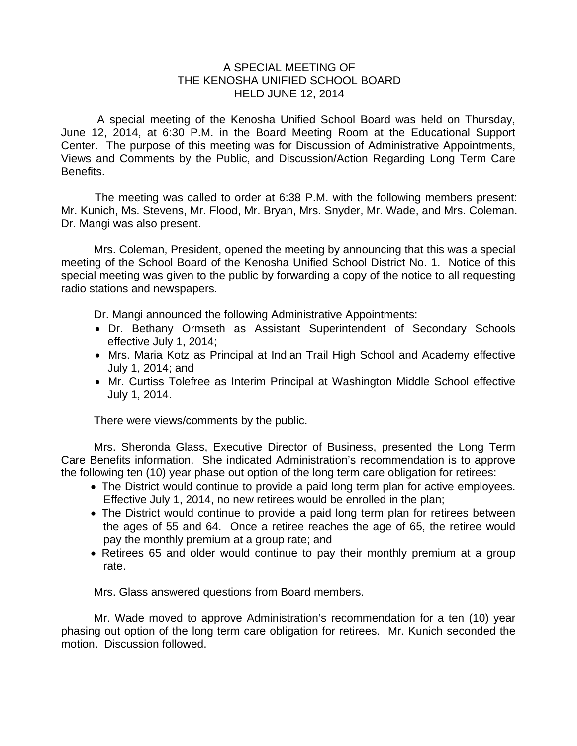## A SPECIAL MEETING OF THE KENOSHA UNIFIED SCHOOL BOARD HELD JUNE 12, 2014

 A special meeting of the Kenosha Unified School Board was held on Thursday, June 12, 2014, at 6:30 P.M. in the Board Meeting Room at the Educational Support Center. The purpose of this meeting was for Discussion of Administrative Appointments, Views and Comments by the Public, and Discussion/Action Regarding Long Term Care Benefits.

The meeting was called to order at 6:38 P.M. with the following members present: Mr. Kunich, Ms. Stevens, Mr. Flood, Mr. Bryan, Mrs. Snyder, Mr. Wade, and Mrs. Coleman. Dr. Mangi was also present.

Mrs. Coleman, President, opened the meeting by announcing that this was a special meeting of the School Board of the Kenosha Unified School District No. 1. Notice of this special meeting was given to the public by forwarding a copy of the notice to all requesting radio stations and newspapers.

Dr. Mangi announced the following Administrative Appointments:

- Dr. Bethany Ormseth as Assistant Superintendent of Secondary Schools effective July 1, 2014;
- Mrs. Maria Kotz as Principal at Indian Trail High School and Academy effective July 1, 2014; and
- Mr. Curtiss Tolefree as Interim Principal at Washington Middle School effective July 1, 2014.

There were views/comments by the public.

Mrs. Sheronda Glass, Executive Director of Business, presented the Long Term Care Benefits information. She indicated Administration's recommendation is to approve the following ten (10) year phase out option of the long term care obligation for retirees:

- The District would continue to provide a paid long term plan for active employees. Effective July 1, 2014, no new retirees would be enrolled in the plan;
- The District would continue to provide a paid long term plan for retirees between the ages of 55 and 64. Once a retiree reaches the age of 65, the retiree would pay the monthly premium at a group rate; and
- Retirees 65 and older would continue to pay their monthly premium at a group rate.

Mrs. Glass answered questions from Board members.

Mr. Wade moved to approve Administration's recommendation for a ten (10) year phasing out option of the long term care obligation for retirees. Mr. Kunich seconded the motion. Discussion followed.